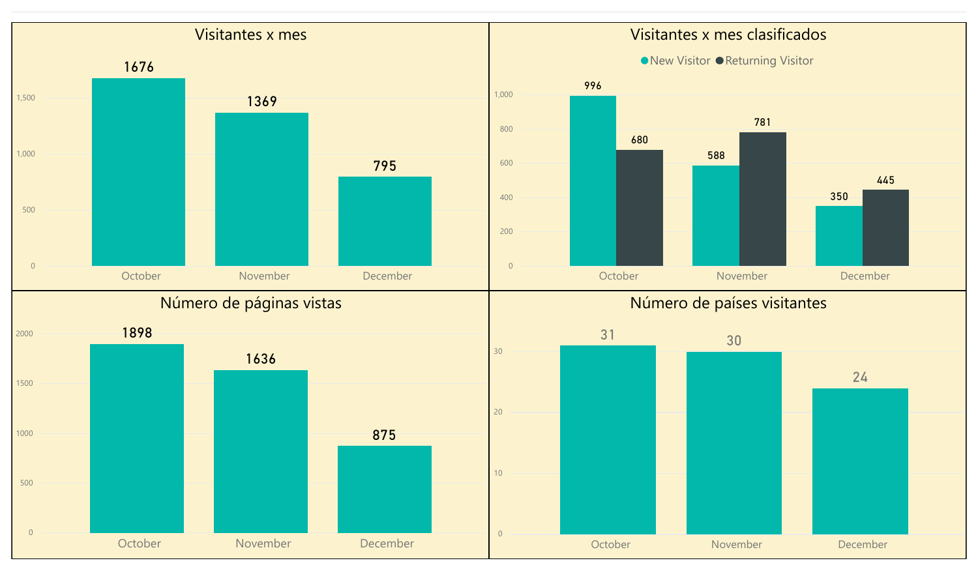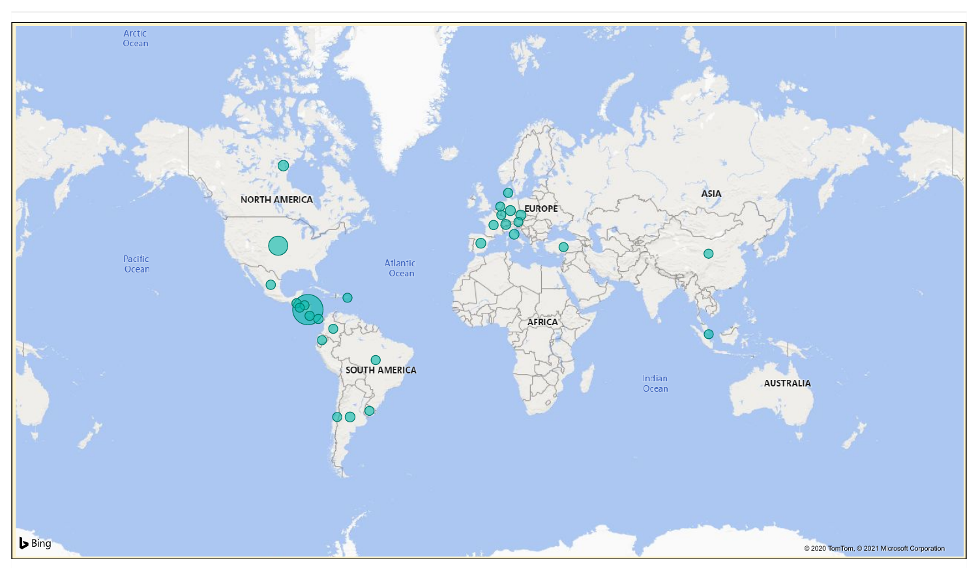